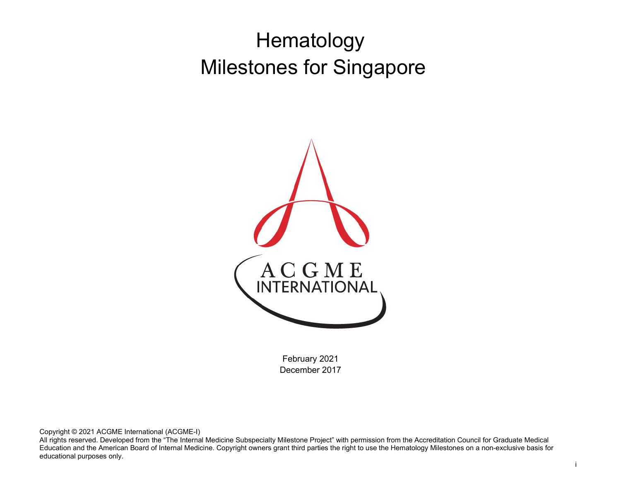# Hematology Milestones for Singapore



February 2021 December 2017

Copyright © 2021 ACGME International (ACGME-I)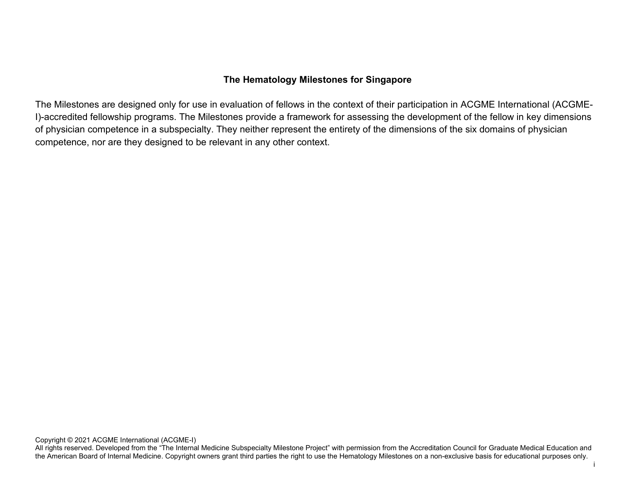#### **The Hematology Milestones for Singapore**

The Milestones are designed only for use in evaluation of fellows in the context of their participation in ACGME International (ACGME-I)-accredited fellowship programs. The Milestones provide a framework for assessing the development of the fellow in key dimensions of physician competence in a subspecialty. They neither represent the entirety of the dimensions of the six domains of physician competence, nor are they designed to be relevant in any other context.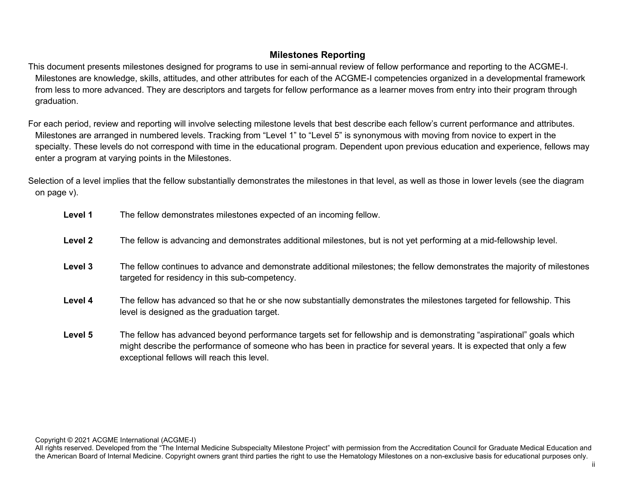## **Milestones Reporting**

This document presents milestones designed for programs to use in semi-annual review of fellow performance and reporting to the ACGME-I. Milestones are knowledge, skills, attitudes, and other attributes for each of the ACGME-I competencies organized in a developmental framework from less to more advanced. They are descriptors and targets for fellow performance as a learner moves from entry into their program through graduation.

For each period, review and reporting will involve selecting milestone levels that best describe each fellow's current performance and attributes. Milestones are arranged in numbered levels. Tracking from "Level 1" to "Level 5" is synonymous with moving from novice to expert in the specialty. These levels do not correspond with time in the educational program. Dependent upon previous education and experience, fellows may enter a program at varying points in the Milestones.

Selection of a level implies that the fellow substantially demonstrates the milestones in that level, as well as those in lower levels (see the diagram on page v).

- **Level 1** The fellow demonstrates milestones expected of an incoming fellow. **Level 2** The fellow is advancing and demonstrates additional milestones, but is not yet performing at a mid-fellowship level. **Level 3** The fellow continues to advance and demonstrate additional milestones; the fellow demonstrates the majority of milestones targeted for residency in this sub-competency. **Level 4** The fellow has advanced so that he or she now substantially demonstrates the milestones targeted for fellowship. This level is designed as the graduation target.
- **Level 5** The fellow has advanced beyond performance targets set for fellowship and is demonstrating "aspirational" goals which might describe the performance of someone who has been in practice for several years. It is expected that only a few exceptional fellows will reach this level.

Copyright © 2021 ACGME International (ACGME-I)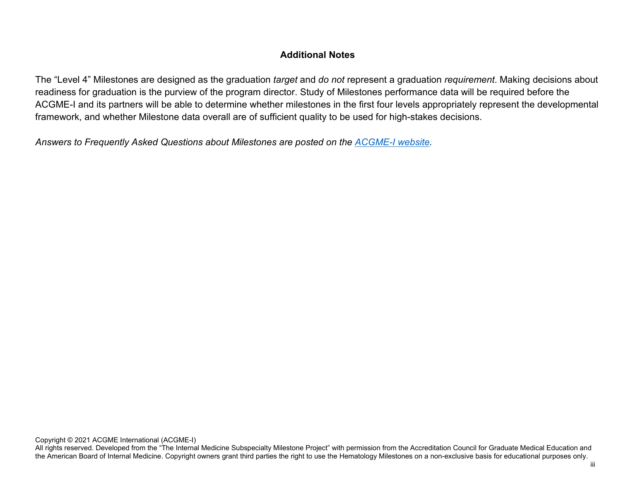## **Additional Notes**

The "Level 4" Milestones are designed as the graduation *target* and *do not* represent a graduation *requirement*. Making decisions about readiness for graduation is the purview of the program director. Study of Milestones performance data will be required before the ACGME-I and its partners will be able to determine whether milestones in the first four levels appropriately represent the developmental framework, and whether Milestone data overall are of sufficient quality to be used for high-stakes decisions.

*Answers to Frequently Asked Questions about Milestones are posted on the [ACGME-I website.](http://www.acgme-i.org/)*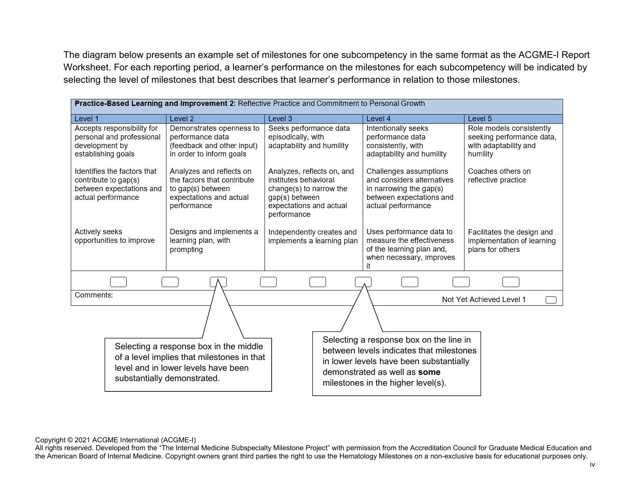The diagram below presents an example set of milestones for one subcompetency in the same format as the ACGME-I Report Worksheet. For each reporting period, a learner's performance on the milestones for each subcompetency will be indicated by selecting the level of milestones that best describes that learner's performance in relation to those milestones.

| <b>Practice-Based Learning and Improvement 2:</b> Reflective Practice and Commitment to Personal Growth |                                                                                                                                                            |                                                                                                                                            |                                                                                                                                                                                                      |                                                                                            |  |
|---------------------------------------------------------------------------------------------------------|------------------------------------------------------------------------------------------------------------------------------------------------------------|--------------------------------------------------------------------------------------------------------------------------------------------|------------------------------------------------------------------------------------------------------------------------------------------------------------------------------------------------------|--------------------------------------------------------------------------------------------|--|
| Level 1                                                                                                 | Level <sub>2</sub>                                                                                                                                         | Level 3                                                                                                                                    | Level 4                                                                                                                                                                                              | Level <sub>5</sub>                                                                         |  |
| Accepts responsibility for<br>personal and professional<br>development by<br>establishing goals         | Demonstrates openness to<br>performance data<br>(feedback and other input)<br>in order to inform goals                                                     | Seeks performance data<br>episodically, with<br>adaptability and humility                                                                  | Intentionally seeks<br>performance data<br>consistently, with<br>adaptability and humility                                                                                                           | Role models consistently<br>seeking performance data,<br>with adaptability and<br>humility |  |
| Identifies the factors that<br>contribute to gap(s)<br>between expectations and<br>actual performance   | Analyzes and reflects on<br>the factors that contribute<br>to gap(s) between<br>expectations and actual<br>performance                                     | Analyzes, reflects on, and<br>institutes behavioral<br>change(s) to narrow the<br>gap(s) between<br>expectations and actual<br>performance | Challenges assumptions<br>and considers alternatives<br>in narrowing the gap(s)<br>between expectations and<br>actual performance                                                                    | Coaches others on<br>reflective practice                                                   |  |
| Actively seeks<br>opportunities to improve                                                              | Designs and implements a<br>learning plan, with<br>prompting                                                                                               | Independently creates and<br>implements a learning plan                                                                                    | Uses performance data to<br>measure the effectiveness<br>of the learning plan and,<br>when necessary, improves<br>it                                                                                 | Facilitates the design and<br>implementation of learning<br>plans for others               |  |
|                                                                                                         |                                                                                                                                                            |                                                                                                                                            |                                                                                                                                                                                                      |                                                                                            |  |
| Comments:                                                                                               |                                                                                                                                                            |                                                                                                                                            |                                                                                                                                                                                                      | Not Yet Achieved Level 1                                                                   |  |
|                                                                                                         |                                                                                                                                                            |                                                                                                                                            |                                                                                                                                                                                                      |                                                                                            |  |
|                                                                                                         | Selecting a response box in the middle<br>of a level implies that milestones in that<br>level and in lower levels have been<br>substantially demonstrated. |                                                                                                                                            | Selecting a response box on the line in<br>between levels indicates that milestones<br>in lower levels have been substantially<br>demonstrated as well as some<br>milestones in the higher level(s). |                                                                                            |  |

Copyright © 2021 ACGME International (ACGME-I)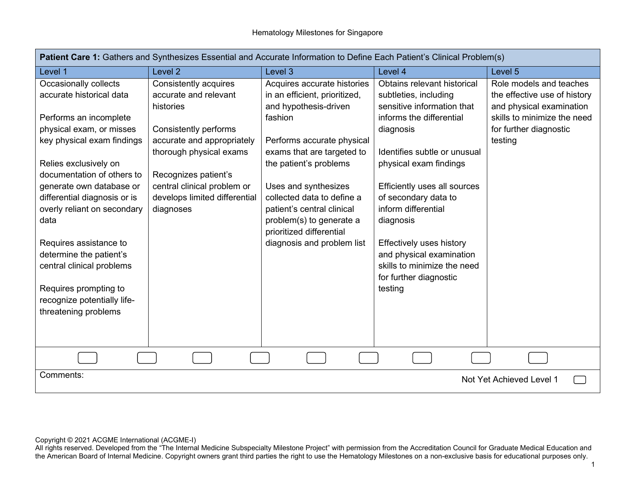| Patient Care 1: Gathers and Synthesizes Essential and Accurate Information to Define Each Patient's Clinical Problem(s) |                               |                                                        |                                             |                              |  |
|-------------------------------------------------------------------------------------------------------------------------|-------------------------------|--------------------------------------------------------|---------------------------------------------|------------------------------|--|
| Level 1                                                                                                                 | Level <sub>2</sub>            | Level 3                                                | Level 4                                     | Level 5                      |  |
| Occasionally collects                                                                                                   | Consistently acquires         | Acquires accurate histories                            | Obtains relevant historical                 | Role models and teaches      |  |
| accurate historical data                                                                                                | accurate and relevant         | in an efficient, prioritized,                          | subtleties, including                       | the effective use of history |  |
|                                                                                                                         | histories                     | and hypothesis-driven                                  | sensitive information that                  | and physical examination     |  |
| Performs an incomplete                                                                                                  |                               | fashion                                                | informs the differential                    | skills to minimize the need  |  |
| physical exam, or misses                                                                                                | Consistently performs         |                                                        | diagnosis                                   | for further diagnostic       |  |
| key physical exam findings                                                                                              | accurate and appropriately    | Performs accurate physical                             |                                             | testing                      |  |
|                                                                                                                         | thorough physical exams       | exams that are targeted to                             | Identifies subtle or unusual                |                              |  |
| Relies exclusively on                                                                                                   |                               | the patient's problems                                 | physical exam findings                      |                              |  |
| documentation of others to                                                                                              | Recognizes patient's          |                                                        |                                             |                              |  |
| generate own database or                                                                                                | central clinical problem or   | Uses and synthesizes                                   | Efficiently uses all sources                |                              |  |
| differential diagnosis or is                                                                                            | develops limited differential | collected data to define a                             | of secondary data to<br>inform differential |                              |  |
| overly reliant on secondary<br>data                                                                                     | diagnoses                     | patient's central clinical<br>problem(s) to generate a |                                             |                              |  |
|                                                                                                                         |                               | prioritized differential                               | diagnosis                                   |                              |  |
| Requires assistance to                                                                                                  |                               | diagnosis and problem list                             | <b>Effectively uses history</b>             |                              |  |
| determine the patient's                                                                                                 |                               |                                                        | and physical examination                    |                              |  |
| central clinical problems                                                                                               |                               |                                                        | skills to minimize the need                 |                              |  |
|                                                                                                                         |                               |                                                        | for further diagnostic                      |                              |  |
| Requires prompting to                                                                                                   |                               |                                                        | testing                                     |                              |  |
| recognize potentially life-                                                                                             |                               |                                                        |                                             |                              |  |
| threatening problems                                                                                                    |                               |                                                        |                                             |                              |  |
|                                                                                                                         |                               |                                                        |                                             |                              |  |
|                                                                                                                         |                               |                                                        |                                             |                              |  |
|                                                                                                                         |                               |                                                        |                                             |                              |  |
|                                                                                                                         |                               |                                                        |                                             |                              |  |
| Comments:                                                                                                               |                               |                                                        |                                             | Not Yet Achieved Level 1     |  |
|                                                                                                                         |                               |                                                        |                                             |                              |  |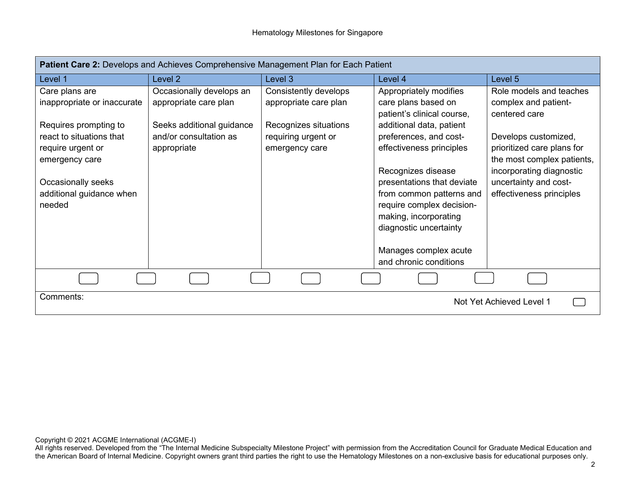| Patient Care 2: Develops and Achieves Comprehensive Management Plan for Each Patient     |                                                                    |                                                                |                                                                                                                                                                                                                 |                                                                                                   |
|------------------------------------------------------------------------------------------|--------------------------------------------------------------------|----------------------------------------------------------------|-----------------------------------------------------------------------------------------------------------------------------------------------------------------------------------------------------------------|---------------------------------------------------------------------------------------------------|
| Level 1                                                                                  | Level 2                                                            | Level 3                                                        | Level 4                                                                                                                                                                                                         | Level 5                                                                                           |
| Care plans are                                                                           | Occasionally develops an                                           | Consistently develops                                          | Appropriately modifies                                                                                                                                                                                          | Role models and teaches                                                                           |
| inappropriate or inaccurate                                                              | appropriate care plan                                              | appropriate care plan                                          | care plans based on                                                                                                                                                                                             | complex and patient-                                                                              |
| Requires prompting to<br>react to situations that<br>require urgent or<br>emergency care | Seeks additional guidance<br>and/or consultation as<br>appropriate | Recognizes situations<br>requiring urgent or<br>emergency care | patient's clinical course,<br>additional data, patient<br>preferences, and cost-<br>effectiveness principles                                                                                                    | centered care<br>Develops customized,<br>prioritized care plans for<br>the most complex patients, |
| Occasionally seeks<br>additional guidance when<br>needed                                 |                                                                    |                                                                | Recognizes disease<br>presentations that deviate<br>from common patterns and<br>require complex decision-<br>making, incorporating<br>diagnostic uncertainty<br>Manages complex acute<br>and chronic conditions | incorporating diagnostic<br>uncertainty and cost-<br>effectiveness principles                     |
|                                                                                          |                                                                    |                                                                |                                                                                                                                                                                                                 |                                                                                                   |
| Comments:<br>Not Yet Achieved Level 1                                                    |                                                                    |                                                                |                                                                                                                                                                                                                 |                                                                                                   |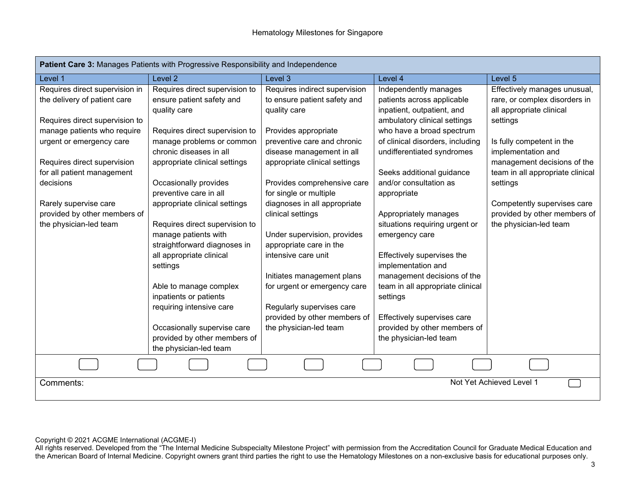| Patient Care 3: Manages Patients with Progressive Responsibility and Independence |                                |                               |                                  |                                  |
|-----------------------------------------------------------------------------------|--------------------------------|-------------------------------|----------------------------------|----------------------------------|
| Level 1                                                                           | Level <sub>2</sub>             | Level 3                       | Level 4                          | Level 5                          |
| Requires direct supervision in                                                    | Requires direct supervision to | Requires indirect supervision | Independently manages            | Effectively manages unusual,     |
| the delivery of patient care                                                      | ensure patient safety and      | to ensure patient safety and  | patients across applicable       | rare, or complex disorders in    |
|                                                                                   | quality care                   | quality care                  | inpatient, outpatient, and       | all appropriate clinical         |
| Requires direct supervision to                                                    |                                |                               | ambulatory clinical settings     | settings                         |
| manage patients who require                                                       | Requires direct supervision to | Provides appropriate          | who have a broad spectrum        |                                  |
| urgent or emergency care                                                          | manage problems or common      | preventive care and chronic   | of clinical disorders, including | Is fully competent in the        |
|                                                                                   | chronic diseases in all        | disease management in all     | undifferentiated syndromes       | implementation and               |
| Requires direct supervision                                                       | appropriate clinical settings  | appropriate clinical settings |                                  | management decisions of the      |
| for all patient management                                                        |                                |                               | Seeks additional guidance        | team in all appropriate clinical |
| decisions                                                                         | Occasionally provides          | Provides comprehensive care   | and/or consultation as           | settings                         |
|                                                                                   | preventive care in all         | for single or multiple        | appropriate                      |                                  |
| Rarely supervise care                                                             | appropriate clinical settings  | diagnoses in all appropriate  |                                  | Competently supervises care      |
| provided by other members of                                                      |                                | clinical settings             | Appropriately manages            | provided by other members of     |
| the physician-led team                                                            | Requires direct supervision to |                               | situations requiring urgent or   | the physician-led team           |
|                                                                                   | manage patients with           | Under supervision, provides   | emergency care                   |                                  |
|                                                                                   | straightforward diagnoses in   | appropriate care in the       |                                  |                                  |
|                                                                                   | all appropriate clinical       | intensive care unit           | Effectively supervises the       |                                  |
|                                                                                   | settings                       |                               | implementation and               |                                  |
|                                                                                   |                                | Initiates management plans    | management decisions of the      |                                  |
|                                                                                   | Able to manage complex         | for urgent or emergency care  | team in all appropriate clinical |                                  |
|                                                                                   | inpatients or patients         |                               | settings                         |                                  |
|                                                                                   | requiring intensive care       | Regularly supervises care     |                                  |                                  |
|                                                                                   |                                | provided by other members of  | Effectively supervises care      |                                  |
|                                                                                   | Occasionally supervise care    | the physician-led team        | provided by other members of     |                                  |
|                                                                                   | provided by other members of   |                               | the physician-led team           |                                  |
|                                                                                   | the physician-led team         |                               |                                  |                                  |
|                                                                                   |                                |                               |                                  |                                  |
| Comments:                                                                         |                                |                               |                                  | Not Yet Achieved Level 1         |
|                                                                                   |                                |                               |                                  |                                  |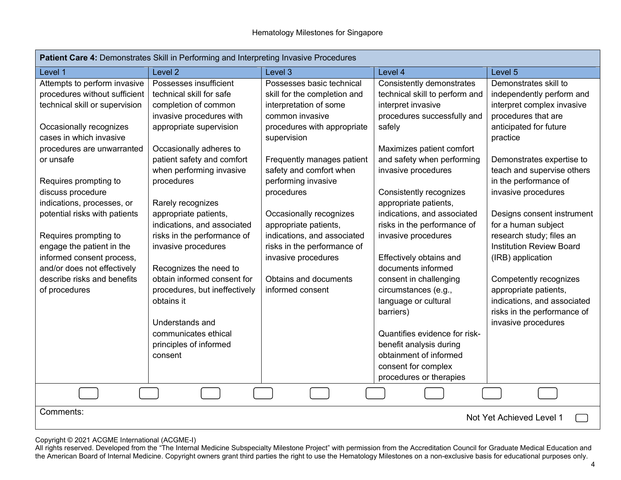| Patient Care 4: Demonstrates Skill in Performing and Interpreting Invasive Procedures                                                                                                                                                                                                                                                                                                                                                                                           |                                                                                                                                                                                                                                                                                                                                                                                                                                                                                 |                                                                                                                                                                                                                                                                                                                                                                                                                                          |                                                                                                                                                                                                                                                                                                                                                                                                                                                                                               |                                                                                                                                                                                                                                                                                                                                                                                                                                                                                                                    |  |
|---------------------------------------------------------------------------------------------------------------------------------------------------------------------------------------------------------------------------------------------------------------------------------------------------------------------------------------------------------------------------------------------------------------------------------------------------------------------------------|---------------------------------------------------------------------------------------------------------------------------------------------------------------------------------------------------------------------------------------------------------------------------------------------------------------------------------------------------------------------------------------------------------------------------------------------------------------------------------|------------------------------------------------------------------------------------------------------------------------------------------------------------------------------------------------------------------------------------------------------------------------------------------------------------------------------------------------------------------------------------------------------------------------------------------|-----------------------------------------------------------------------------------------------------------------------------------------------------------------------------------------------------------------------------------------------------------------------------------------------------------------------------------------------------------------------------------------------------------------------------------------------------------------------------------------------|--------------------------------------------------------------------------------------------------------------------------------------------------------------------------------------------------------------------------------------------------------------------------------------------------------------------------------------------------------------------------------------------------------------------------------------------------------------------------------------------------------------------|--|
| Level 1                                                                                                                                                                                                                                                                                                                                                                                                                                                                         | Level <sub>2</sub>                                                                                                                                                                                                                                                                                                                                                                                                                                                              | Level 3                                                                                                                                                                                                                                                                                                                                                                                                                                  | Level 4                                                                                                                                                                                                                                                                                                                                                                                                                                                                                       | Level 5                                                                                                                                                                                                                                                                                                                                                                                                                                                                                                            |  |
| Attempts to perform invasive<br>procedures without sufficient<br>technical skill or supervision<br>Occasionally recognizes<br>cases in which invasive<br>procedures are unwarranted<br>or unsafe<br>Requires prompting to<br>discuss procedure<br>indications, processes, or<br>potential risks with patients<br>Requires prompting to<br>engage the patient in the<br>informed consent process,<br>and/or does not effectively<br>describe risks and benefits<br>of procedures | Possesses insufficient<br>technical skill for safe<br>completion of common<br>invasive procedures with<br>appropriate supervision<br>Occasionally adheres to<br>patient safety and comfort<br>when performing invasive<br>procedures<br>Rarely recognizes<br>appropriate patients,<br>indications, and associated<br>risks in the performance of<br>invasive procedures<br>Recognizes the need to<br>obtain informed consent for<br>procedures, but ineffectively<br>obtains it | Possesses basic technical<br>skill for the completion and<br>interpretation of some<br>common invasive<br>procedures with appropriate<br>supervision<br>Frequently manages patient<br>safety and comfort when<br>performing invasive<br>procedures<br>Occasionally recognizes<br>appropriate patients,<br>indications, and associated<br>risks in the performance of<br>invasive procedures<br>Obtains and documents<br>informed consent | Consistently demonstrates<br>technical skill to perform and<br>interpret invasive<br>procedures successfully and<br>safely<br>Maximizes patient comfort<br>and safety when performing<br>invasive procedures<br>Consistently recognizes<br>appropriate patients,<br>indications, and associated<br>risks in the performance of<br>invasive procedures<br>Effectively obtains and<br>documents informed<br>consent in challenging<br>circumstances (e.g.,<br>language or cultural<br>barriers) | Demonstrates skill to<br>independently perform and<br>interpret complex invasive<br>procedures that are<br>anticipated for future<br>practice<br>Demonstrates expertise to<br>teach and supervise others<br>in the performance of<br>invasive procedures<br>Designs consent instrument<br>for a human subject<br>research study; files an<br><b>Institution Review Board</b><br>(IRB) application<br>Competently recognizes<br>appropriate patients,<br>indications, and associated<br>risks in the performance of |  |
|                                                                                                                                                                                                                                                                                                                                                                                                                                                                                 | Understands and<br>communicates ethical<br>principles of informed<br>consent                                                                                                                                                                                                                                                                                                                                                                                                    |                                                                                                                                                                                                                                                                                                                                                                                                                                          | Quantifies evidence for risk-<br>benefit analysis during<br>obtainment of informed<br>consent for complex<br>procedures or therapies                                                                                                                                                                                                                                                                                                                                                          | invasive procedures                                                                                                                                                                                                                                                                                                                                                                                                                                                                                                |  |
|                                                                                                                                                                                                                                                                                                                                                                                                                                                                                 |                                                                                                                                                                                                                                                                                                                                                                                                                                                                                 |                                                                                                                                                                                                                                                                                                                                                                                                                                          |                                                                                                                                                                                                                                                                                                                                                                                                                                                                                               |                                                                                                                                                                                                                                                                                                                                                                                                                                                                                                                    |  |
| Comments:<br>Not Yet Achieved Level 1                                                                                                                                                                                                                                                                                                                                                                                                                                           |                                                                                                                                                                                                                                                                                                                                                                                                                                                                                 |                                                                                                                                                                                                                                                                                                                                                                                                                                          |                                                                                                                                                                                                                                                                                                                                                                                                                                                                                               |                                                                                                                                                                                                                                                                                                                                                                                                                                                                                                                    |  |

Copyright © 2021 ACGME International (ACGME-I)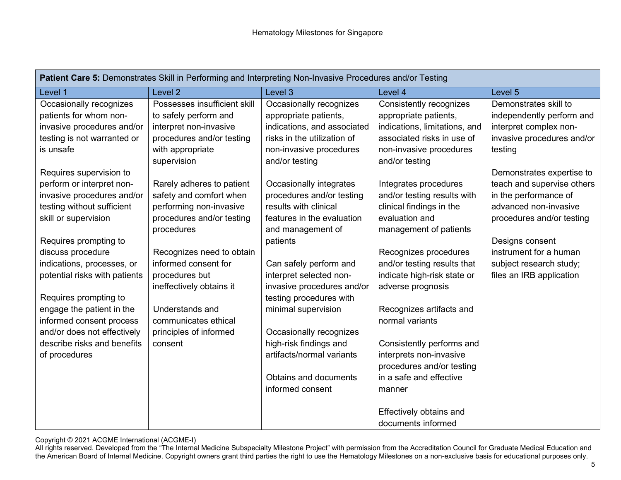| Patient Care 5: Demonstrates Skill in Performing and Interpreting Non-Invasive Procedures and/or Testing |                              |                             |                               |                            |  |
|----------------------------------------------------------------------------------------------------------|------------------------------|-----------------------------|-------------------------------|----------------------------|--|
| Level 1                                                                                                  | Level <sub>2</sub>           | Level 3                     | Level 4                       | Level 5                    |  |
| Occasionally recognizes                                                                                  | Possesses insufficient skill | Occasionally recognizes     | Consistently recognizes       | Demonstrates skill to      |  |
| patients for whom non-                                                                                   | to safely perform and        | appropriate patients,       | appropriate patients,         | independently perform and  |  |
| invasive procedures and/or                                                                               | interpret non-invasive       | indications, and associated | indications, limitations, and | interpret complex non-     |  |
| testing is not warranted or                                                                              | procedures and/or testing    | risks in the utilization of | associated risks in use of    | invasive procedures and/or |  |
| is unsafe                                                                                                | with appropriate             | non-invasive procedures     | non-invasive procedures       | testing                    |  |
|                                                                                                          | supervision                  | and/or testing              | and/or testing                |                            |  |
| Requires supervision to                                                                                  |                              |                             |                               | Demonstrates expertise to  |  |
| perform or interpret non-                                                                                | Rarely adheres to patient    | Occasionally integrates     | Integrates procedures         | teach and supervise others |  |
| invasive procedures and/or                                                                               | safety and comfort when      | procedures and/or testing   | and/or testing results with   | in the performance of      |  |
| testing without sufficient                                                                               | performing non-invasive      | results with clinical       | clinical findings in the      | advanced non-invasive      |  |
| skill or supervision                                                                                     | procedures and/or testing    | features in the evaluation  | evaluation and                | procedures and/or testing  |  |
|                                                                                                          | procedures                   | and management of           | management of patients        |                            |  |
| Requires prompting to                                                                                    |                              | patients                    |                               | Designs consent            |  |
| discuss procedure                                                                                        | Recognizes need to obtain    |                             | Recognizes procedures         | instrument for a human     |  |
| indications, processes, or                                                                               | informed consent for         | Can safely perform and      | and/or testing results that   | subject research study;    |  |
| potential risks with patients                                                                            | procedures but               | interpret selected non-     | indicate high-risk state or   | files an IRB application   |  |
|                                                                                                          | ineffectively obtains it     | invasive procedures and/or  | adverse prognosis             |                            |  |
| Requires prompting to                                                                                    |                              | testing procedures with     |                               |                            |  |
| engage the patient in the                                                                                | Understands and              | minimal supervision         | Recognizes artifacts and      |                            |  |
| informed consent process                                                                                 | communicates ethical         |                             | normal variants               |                            |  |
| and/or does not effectively                                                                              | principles of informed       | Occasionally recognizes     |                               |                            |  |
| describe risks and benefits                                                                              | consent                      | high-risk findings and      | Consistently performs and     |                            |  |
| of procedures                                                                                            |                              | artifacts/normal variants   | interprets non-invasive       |                            |  |
|                                                                                                          |                              |                             | procedures and/or testing     |                            |  |
|                                                                                                          |                              | Obtains and documents       | in a safe and effective       |                            |  |
|                                                                                                          |                              | informed consent            | manner                        |                            |  |
|                                                                                                          |                              |                             | Effectively obtains and       |                            |  |
|                                                                                                          |                              |                             | documents informed            |                            |  |

Copyright © 2021 ACGME International (ACGME-I)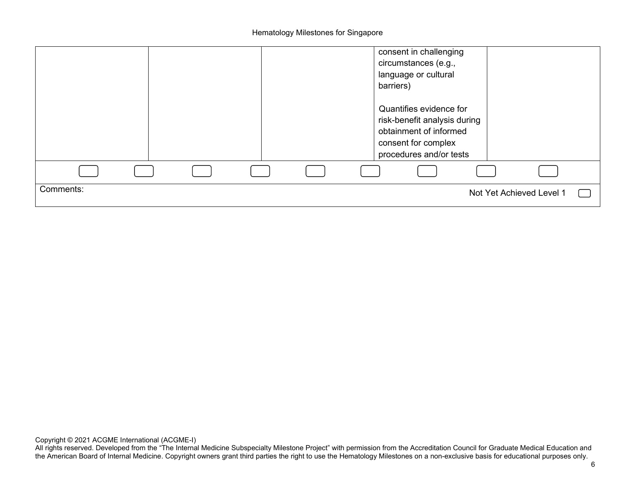Hematology Milestones for Singapore

|           |  |  | consent in challenging<br>circumstances (e.g.,<br>language or cultural<br>barriers)                                                 |
|-----------|--|--|-------------------------------------------------------------------------------------------------------------------------------------|
|           |  |  | Quantifies evidence for<br>risk-benefit analysis during<br>obtainment of informed<br>consent for complex<br>procedures and/or tests |
|           |  |  |                                                                                                                                     |
| Comments: |  |  | Not Yet Achieved Level 1                                                                                                            |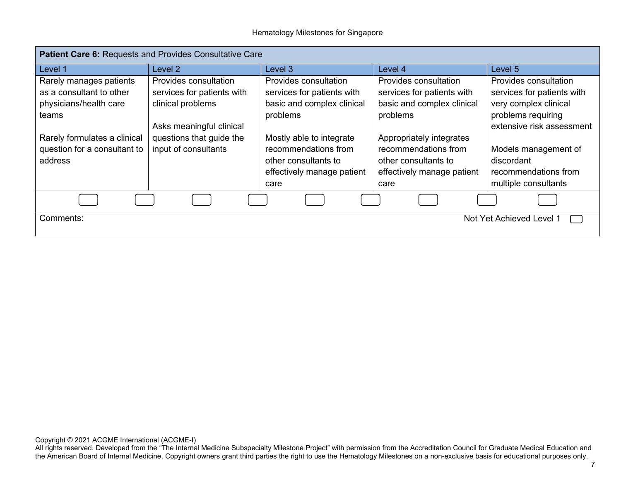| Patient Care 6: Requests and Provides Consultative Care |                            |                            |                            |                            |
|---------------------------------------------------------|----------------------------|----------------------------|----------------------------|----------------------------|
| Level 1                                                 | Level 2                    | Level 3                    | Level 4                    | Level 5                    |
| Rarely manages patients                                 | Provides consultation      | Provides consultation      | Provides consultation      | Provides consultation      |
| as a consultant to other                                | services for patients with | services for patients with | services for patients with | services for patients with |
| physicians/health care                                  | clinical problems          | basic and complex clinical | basic and complex clinical | very complex clinical      |
| teams                                                   |                            | problems                   | problems                   | problems requiring         |
|                                                         | Asks meaningful clinical   |                            |                            | extensive risk assessment  |
| Rarely formulates a clinical                            | questions that guide the   | Mostly able to integrate   | Appropriately integrates   |                            |
| question for a consultant to                            | input of consultants       | recommendations from       | recommendations from       | Models management of       |
| address                                                 |                            | other consultants to       | other consultants to       | discordant                 |
|                                                         |                            | effectively manage patient | effectively manage patient | recommendations from       |
|                                                         |                            | care                       | care                       | multiple consultants       |
|                                                         |                            |                            |                            |                            |
| Comments:                                               |                            |                            |                            | Not Yet Achieved Level 1   |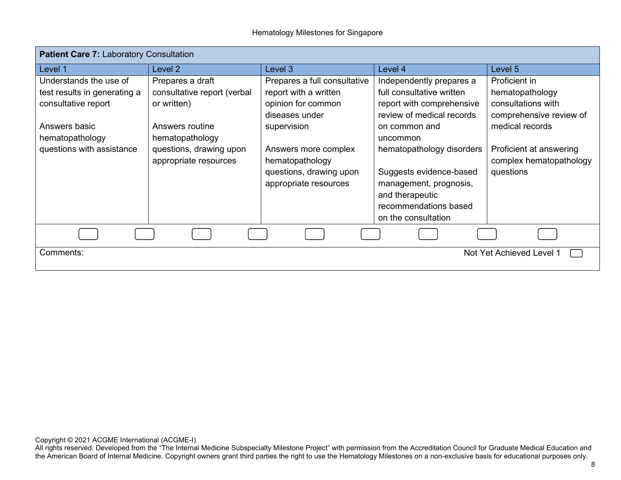| <b>Patient Care 7: Laboratory Consultation</b> |                                                  |                                                                                             |                                                                                                                                                   |                                                                 |
|------------------------------------------------|--------------------------------------------------|---------------------------------------------------------------------------------------------|---------------------------------------------------------------------------------------------------------------------------------------------------|-----------------------------------------------------------------|
| Level 1                                        | Level 2                                          | Level 3                                                                                     | Level 4                                                                                                                                           | Level 5                                                         |
| Understands the use of                         | Prepares a draft                                 | Prepares a full consultative                                                                | Independently prepares a                                                                                                                          | Proficient in                                                   |
| test results in generating a                   | consultative report (verbal                      | report with a written                                                                       | full consultative written                                                                                                                         | hematopathology                                                 |
| consultative report                            | or written)                                      | opinion for common                                                                          | report with comprehensive                                                                                                                         | consultations with                                              |
| Answers basic<br>hematopathology               | Answers routine<br>hematopathology               | diseases under<br>supervision                                                               | review of medical records<br>on common and<br>uncommon                                                                                            | comprehensive review of<br>medical records                      |
| questions with assistance                      | questions, drawing upon<br>appropriate resources | Answers more complex<br>hematopathology<br>questions, drawing upon<br>appropriate resources | hematopathology disorders<br>Suggests evidence-based<br>management, prognosis,<br>and therapeutic<br>recommendations based<br>on the consultation | Proficient at answering<br>complex hematopathology<br>questions |
|                                                |                                                  |                                                                                             |                                                                                                                                                   |                                                                 |
| Comments:                                      |                                                  |                                                                                             |                                                                                                                                                   | Not Yet Achieved Level 1                                        |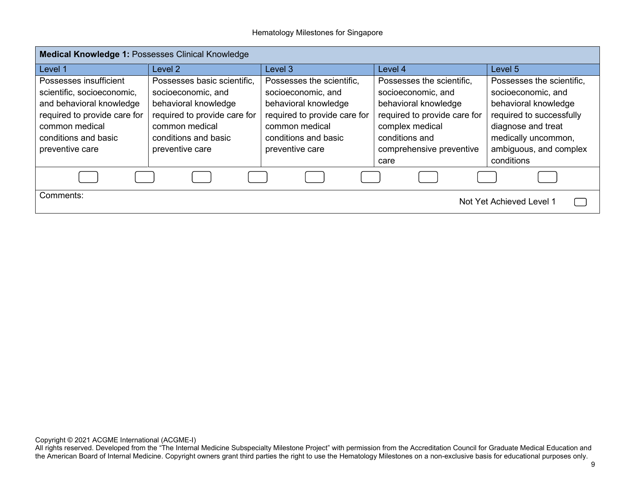#### Hematology Milestones for Singapore

| Medical Knowledge 1: Possesses Clinical Knowledge                                                                                                                             |                                                                                                                                                                        |                                                                                                                                                                      |                                                                                                                                                                          |                                                                                                                                                                            |
|-------------------------------------------------------------------------------------------------------------------------------------------------------------------------------|------------------------------------------------------------------------------------------------------------------------------------------------------------------------|----------------------------------------------------------------------------------------------------------------------------------------------------------------------|--------------------------------------------------------------------------------------------------------------------------------------------------------------------------|----------------------------------------------------------------------------------------------------------------------------------------------------------------------------|
| Level 1                                                                                                                                                                       | Level 2                                                                                                                                                                | Level 3                                                                                                                                                              | Level 4                                                                                                                                                                  | Level 5                                                                                                                                                                    |
| Possesses insufficient<br>scientific, socioeconomic,<br>and behavioral knowledge<br>required to provide care for<br>common medical<br>conditions and basic<br>preventive care | Possesses basic scientific.<br>socioeconomic, and<br>behavioral knowledge<br>required to provide care for<br>common medical<br>conditions and basic<br>preventive care | Possesses the scientific,<br>socioeconomic, and<br>behavioral knowledge<br>required to provide care for<br>common medical<br>conditions and basic<br>preventive care | Possesses the scientific,<br>socioeconomic, and<br>behavioral knowledge<br>required to provide care for<br>complex medical<br>conditions and<br>comprehensive preventive | Possesses the scientific,<br>socioeconomic, and<br>behavioral knowledge<br>required to successfully<br>diagnose and treat<br>medically uncommon,<br>ambiguous, and complex |
| Comments:                                                                                                                                                                     |                                                                                                                                                                        |                                                                                                                                                                      | care                                                                                                                                                                     | conditions                                                                                                                                                                 |
|                                                                                                                                                                               |                                                                                                                                                                        |                                                                                                                                                                      |                                                                                                                                                                          | Not Yet Achieved Level 1                                                                                                                                                   |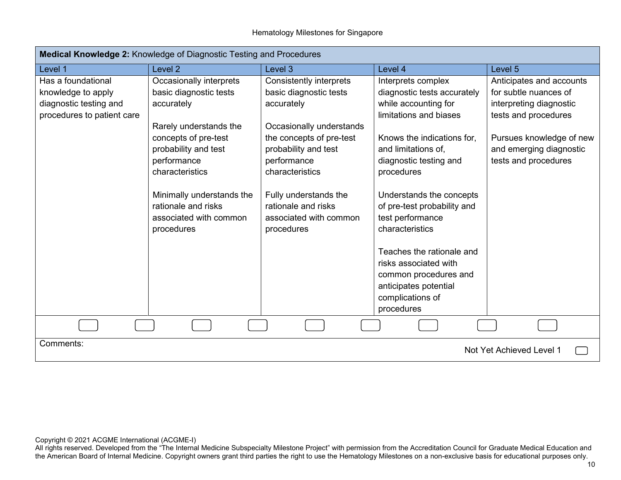| Medical Knowledge 2: Knowledge of Diagnostic Testing and Procedures                              |                                                                                                                                                                                                                                                                         |                                                                                                                                                                                                                                                                           |                                                                                                                                                                                                                                                                                                                                                          |                                                                                                                                                                                     |  |
|--------------------------------------------------------------------------------------------------|-------------------------------------------------------------------------------------------------------------------------------------------------------------------------------------------------------------------------------------------------------------------------|---------------------------------------------------------------------------------------------------------------------------------------------------------------------------------------------------------------------------------------------------------------------------|----------------------------------------------------------------------------------------------------------------------------------------------------------------------------------------------------------------------------------------------------------------------------------------------------------------------------------------------------------|-------------------------------------------------------------------------------------------------------------------------------------------------------------------------------------|--|
| Level 1                                                                                          | Level 2                                                                                                                                                                                                                                                                 | Level 3                                                                                                                                                                                                                                                                   | Level 4                                                                                                                                                                                                                                                                                                                                                  | Level 5                                                                                                                                                                             |  |
| Has a foundational<br>knowledge to apply<br>diagnostic testing and<br>procedures to patient care | Occasionally interprets<br>basic diagnostic tests<br>accurately<br>Rarely understands the<br>concepts of pre-test<br>probability and test<br>performance<br>characteristics<br>Minimally understands the<br>rationale and risks<br>associated with common<br>procedures | Consistently interprets<br>basic diagnostic tests<br>accurately<br>Occasionally understands<br>the concepts of pre-test<br>probability and test<br>performance<br>characteristics<br>Fully understands the<br>rationale and risks<br>associated with common<br>procedures | Interprets complex<br>diagnostic tests accurately<br>while accounting for<br>limitations and biases<br>Knows the indications for,<br>and limitations of,<br>diagnostic testing and<br>procedures<br>Understands the concepts<br>of pre-test probability and<br>test performance<br>characteristics<br>Teaches the rationale and<br>risks associated with | Anticipates and accounts<br>for subtle nuances of<br>interpreting diagnostic<br>tests and procedures<br>Pursues knowledge of new<br>and emerging diagnostic<br>tests and procedures |  |
|                                                                                                  |                                                                                                                                                                                                                                                                         |                                                                                                                                                                                                                                                                           | common procedures and<br>anticipates potential<br>complications of<br>procedures                                                                                                                                                                                                                                                                         |                                                                                                                                                                                     |  |
|                                                                                                  |                                                                                                                                                                                                                                                                         |                                                                                                                                                                                                                                                                           |                                                                                                                                                                                                                                                                                                                                                          |                                                                                                                                                                                     |  |
| Comments:<br>Not Yet Achieved Level 1                                                            |                                                                                                                                                                                                                                                                         |                                                                                                                                                                                                                                                                           |                                                                                                                                                                                                                                                                                                                                                          |                                                                                                                                                                                     |  |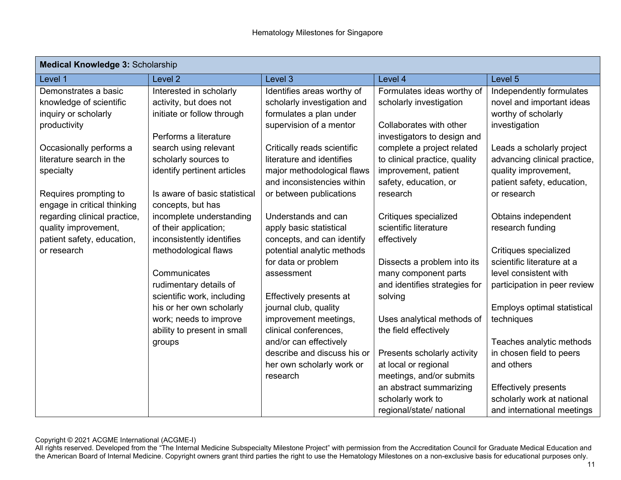| <b>Medical Knowledge 3: Scholarship</b> |                               |                             |                               |                              |  |
|-----------------------------------------|-------------------------------|-----------------------------|-------------------------------|------------------------------|--|
| Level 1                                 | Level <sub>2</sub>            | Level 3                     | Level 4                       | Level 5                      |  |
| Demonstrates a basic                    | Interested in scholarly       | Identifies areas worthy of  | Formulates ideas worthy of    | Independently formulates     |  |
| knowledge of scientific                 | activity, but does not        | scholarly investigation and | scholarly investigation       | novel and important ideas    |  |
| inquiry or scholarly                    | initiate or follow through    | formulates a plan under     |                               | worthy of scholarly          |  |
| productivity                            |                               | supervision of a mentor     | Collaborates with other       | investigation                |  |
|                                         | Performs a literature         |                             | investigators to design and   |                              |  |
| Occasionally performs a                 | search using relevant         | Critically reads scientific | complete a project related    | Leads a scholarly project    |  |
| literature search in the                | scholarly sources to          | literature and identifies   | to clinical practice, quality | advancing clinical practice, |  |
| specialty                               | identify pertinent articles   | major methodological flaws  | improvement, patient          | quality improvement,         |  |
|                                         |                               | and inconsistencies within  | safety, education, or         | patient safety, education,   |  |
| Requires prompting to                   | Is aware of basic statistical | or between publications     | research                      | or research                  |  |
| engage in critical thinking             | concepts, but has             |                             |                               |                              |  |
| regarding clinical practice,            | incomplete understanding      | Understands and can         | Critiques specialized         | Obtains independent          |  |
| quality improvement,                    | of their application;         | apply basic statistical     | scientific literature         | research funding             |  |
| patient safety, education,              | inconsistently identifies     | concepts, and can identify  | effectively                   |                              |  |
| or research                             | methodological flaws          | potential analytic methods  |                               | Critiques specialized        |  |
|                                         |                               | for data or problem         | Dissects a problem into its   | scientific literature at a   |  |
|                                         | Communicates                  | assessment                  | many component parts          | level consistent with        |  |
|                                         | rudimentary details of        |                             | and identifies strategies for | participation in peer review |  |
|                                         | scientific work, including    | Effectively presents at     | solving                       |                              |  |
|                                         | his or her own scholarly      | journal club, quality       |                               | Employs optimal statistical  |  |
|                                         | work; needs to improve        | improvement meetings,       | Uses analytical methods of    | techniques                   |  |
|                                         | ability to present in small   | clinical conferences,       | the field effectively         |                              |  |
|                                         | groups                        | and/or can effectively      |                               | Teaches analytic methods     |  |
|                                         |                               | describe and discuss his or | Presents scholarly activity   | in chosen field to peers     |  |
|                                         |                               | her own scholarly work or   | at local or regional          | and others                   |  |
|                                         |                               | research                    | meetings, and/or submits      |                              |  |
|                                         |                               |                             | an abstract summarizing       | <b>Effectively presents</b>  |  |
|                                         |                               |                             | scholarly work to             | scholarly work at national   |  |
|                                         |                               |                             | regional/state/ national      | and international meetings   |  |

Copyright © 2021 ACGME International (ACGME-I)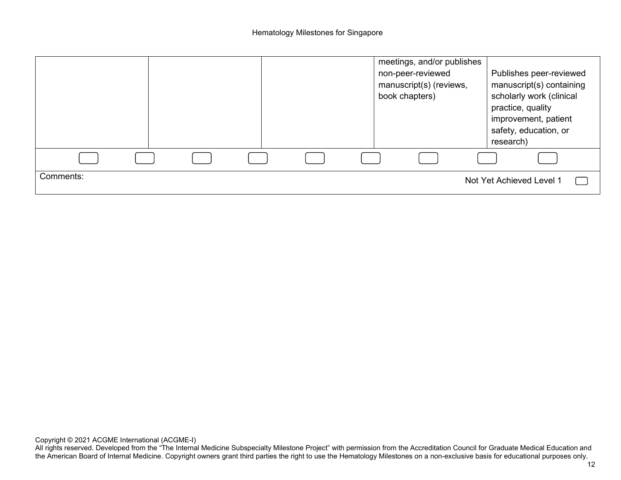|           |  |  | meetings, and/or publishes<br>non-peer-reviewed<br>manuscript(s) (reviews,<br>book chapters) | Publishes peer-reviewed<br>manuscript(s) containing<br>scholarly work (clinical<br>practice, quality<br>improvement, patient<br>safety, education, or<br>research) |
|-----------|--|--|----------------------------------------------------------------------------------------------|--------------------------------------------------------------------------------------------------------------------------------------------------------------------|
|           |  |  |                                                                                              |                                                                                                                                                                    |
| Comments: |  |  |                                                                                              | Not Yet Achieved Level 1                                                                                                                                           |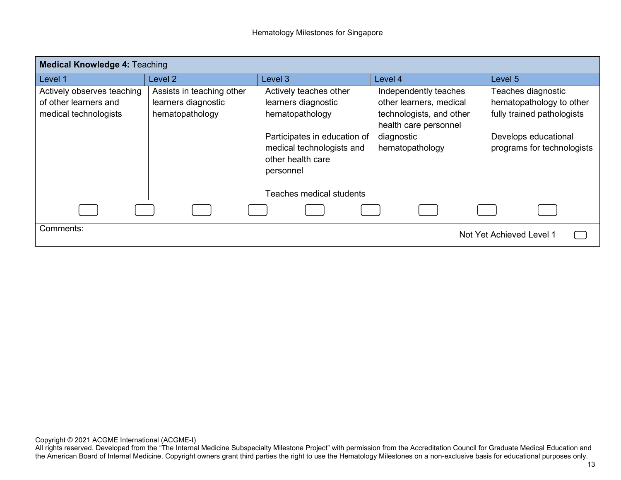| <b>Medical Knowledge 4: Teaching</b> |                           |                              |                          |                            |
|--------------------------------------|---------------------------|------------------------------|--------------------------|----------------------------|
| Level 1                              | Level 2                   | Level 3                      | Level 4                  | Level 5                    |
| Actively observes teaching           | Assists in teaching other | Actively teaches other       | Independently teaches    | Teaches diagnostic         |
| of other learners and                | learners diagnostic       | learners diagnostic          | other learners, medical  | hematopathology to other   |
| medical technologists                | hematopathology           | hematopathology              | technologists, and other | fully trained pathologists |
|                                      |                           |                              | health care personnel    |                            |
|                                      |                           | Participates in education of | diagnostic               | Develops educational       |
|                                      |                           | medical technologists and    | hematopathology          | programs for technologists |
|                                      |                           | other health care            |                          |                            |
|                                      |                           | personnel                    |                          |                            |
|                                      |                           |                              |                          |                            |
|                                      |                           | Teaches medical students     |                          |                            |
|                                      |                           |                              |                          |                            |
| Comments:                            |                           |                              |                          | Not Yet Achieved Level 1   |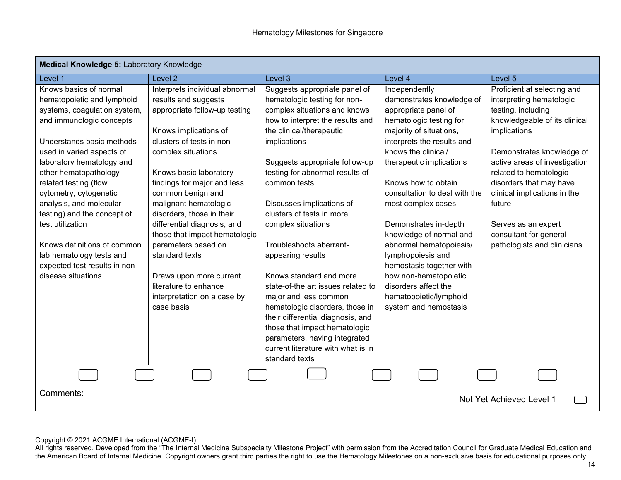| Medical Knowledge 5: Laboratory Knowledge                                                                                                                                                                                                                                                                                                                                                                                                                                            |                                                                                                                                                                                                                                                                                                                                                                                                                                                                                                                   |                                                                                                                                                                                                                                                                                                                                                                                                                                                                                                                                                                                                                                        |                                                                                                                                                                                                                                                                                                                                                                                                                                                                                                                             |                                                                                                                                                                                                                                                                                                                                                                             |
|--------------------------------------------------------------------------------------------------------------------------------------------------------------------------------------------------------------------------------------------------------------------------------------------------------------------------------------------------------------------------------------------------------------------------------------------------------------------------------------|-------------------------------------------------------------------------------------------------------------------------------------------------------------------------------------------------------------------------------------------------------------------------------------------------------------------------------------------------------------------------------------------------------------------------------------------------------------------------------------------------------------------|----------------------------------------------------------------------------------------------------------------------------------------------------------------------------------------------------------------------------------------------------------------------------------------------------------------------------------------------------------------------------------------------------------------------------------------------------------------------------------------------------------------------------------------------------------------------------------------------------------------------------------------|-----------------------------------------------------------------------------------------------------------------------------------------------------------------------------------------------------------------------------------------------------------------------------------------------------------------------------------------------------------------------------------------------------------------------------------------------------------------------------------------------------------------------------|-----------------------------------------------------------------------------------------------------------------------------------------------------------------------------------------------------------------------------------------------------------------------------------------------------------------------------------------------------------------------------|
| Level 1                                                                                                                                                                                                                                                                                                                                                                                                                                                                              | Level <sub>2</sub>                                                                                                                                                                                                                                                                                                                                                                                                                                                                                                | Level 3                                                                                                                                                                                                                                                                                                                                                                                                                                                                                                                                                                                                                                | Level 4                                                                                                                                                                                                                                                                                                                                                                                                                                                                                                                     | Level 5                                                                                                                                                                                                                                                                                                                                                                     |
| Knows basics of normal<br>hematopoietic and lymphoid<br>systems, coagulation system,<br>and immunologic concepts<br>Understands basic methods<br>used in varied aspects of<br>laboratory hematology and<br>other hematopathology-<br>related testing (flow<br>cytometry, cytogenetic<br>analysis, and molecular<br>testing) and the concept of<br>test utilization<br>Knows definitions of common<br>lab hematology tests and<br>expected test results in non-<br>disease situations | Interprets individual abnormal<br>results and suggests<br>appropriate follow-up testing<br>Knows implications of<br>clusters of tests in non-<br>complex situations<br>Knows basic laboratory<br>findings for major and less<br>common benign and<br>malignant hematologic<br>disorders, those in their<br>differential diagnosis, and<br>those that impact hematologic<br>parameters based on<br>standard texts<br>Draws upon more current<br>literature to enhance<br>interpretation on a case by<br>case basis | Suggests appropriate panel of<br>hematologic testing for non-<br>complex situations and knows<br>how to interpret the results and<br>the clinical/therapeutic<br>implications<br>Suggests appropriate follow-up<br>testing for abnormal results of<br>common tests<br>Discusses implications of<br>clusters of tests in more<br>complex situations<br>Troubleshoots aberrant-<br>appearing results<br>Knows standard and more<br>state-of-the art issues related to<br>major and less common<br>hematologic disorders, those in<br>their differential diagnosis, and<br>those that impact hematologic<br>parameters, having integrated | Independently<br>demonstrates knowledge of<br>appropriate panel of<br>hematologic testing for<br>majority of situations,<br>interprets the results and<br>knows the clinical/<br>therapeutic implications<br>Knows how to obtain<br>consultation to deal with the<br>most complex cases<br>Demonstrates in-depth<br>knowledge of normal and<br>abnormal hematopoiesis/<br>lymphopoiesis and<br>hemostasis together with<br>how non-hematopoietic<br>disorders affect the<br>hematopoietic/lymphoid<br>system and hemostasis | Proficient at selecting and<br>interpreting hematologic<br>testing, including<br>knowledgeable of its clinical<br>implications<br>Demonstrates knowledge of<br>active areas of investigation<br>related to hematologic<br>disorders that may have<br>clinical implications in the<br>future<br>Serves as an expert<br>consultant for general<br>pathologists and clinicians |
|                                                                                                                                                                                                                                                                                                                                                                                                                                                                                      |                                                                                                                                                                                                                                                                                                                                                                                                                                                                                                                   | current literature with what is in<br>standard texts                                                                                                                                                                                                                                                                                                                                                                                                                                                                                                                                                                                   |                                                                                                                                                                                                                                                                                                                                                                                                                                                                                                                             |                                                                                                                                                                                                                                                                                                                                                                             |
|                                                                                                                                                                                                                                                                                                                                                                                                                                                                                      |                                                                                                                                                                                                                                                                                                                                                                                                                                                                                                                   |                                                                                                                                                                                                                                                                                                                                                                                                                                                                                                                                                                                                                                        |                                                                                                                                                                                                                                                                                                                                                                                                                                                                                                                             |                                                                                                                                                                                                                                                                                                                                                                             |
| Comments:                                                                                                                                                                                                                                                                                                                                                                                                                                                                            |                                                                                                                                                                                                                                                                                                                                                                                                                                                                                                                   |                                                                                                                                                                                                                                                                                                                                                                                                                                                                                                                                                                                                                                        |                                                                                                                                                                                                                                                                                                                                                                                                                                                                                                                             | Not Yet Achieved Level 1                                                                                                                                                                                                                                                                                                                                                    |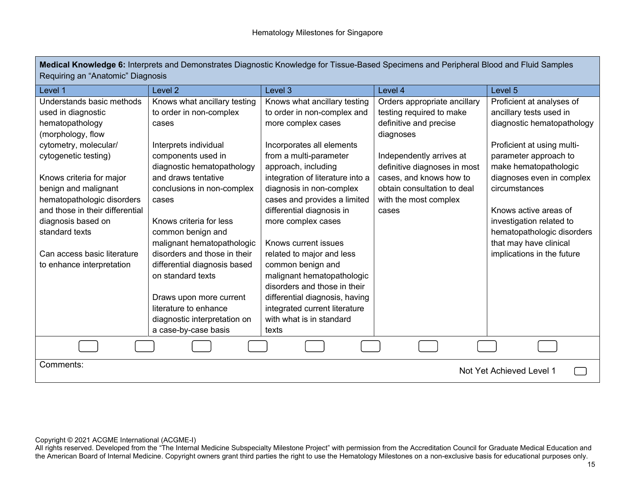| Medical Knowledge 6: Interprets and Demonstrates Diagnostic Knowledge for Tissue-Based Specimens and Peripheral Blood and Fluid Samples |  |
|-----------------------------------------------------------------------------------------------------------------------------------------|--|
| Requiring an "Anatomic" Diagnosis                                                                                                       |  |

| Level 1                         | Level <sub>2</sub>           | Level 3                          | Level 4                      | Level 5                    |
|---------------------------------|------------------------------|----------------------------------|------------------------------|----------------------------|
| Understands basic methods       | Knows what ancillary testing | Knows what ancillary testing     | Orders appropriate ancillary | Proficient at analyses of  |
| used in diagnostic              | to order in non-complex      | to order in non-complex and      | testing required to make     | ancillary tests used in    |
| hematopathology                 | cases                        | more complex cases               | definitive and precise       | diagnostic hematopathology |
| (morphology, flow               |                              |                                  | diagnoses                    |                            |
| cytometry, molecular/           | Interprets individual        | Incorporates all elements        |                              | Proficient at using multi- |
| cytogenetic testing)            | components used in           | from a multi-parameter           | Independently arrives at     | parameter approach to      |
|                                 | diagnostic hematopathology   | approach, including              | definitive diagnoses in most | make hematopathologic      |
| Knows criteria for major        | and draws tentative          | integration of literature into a | cases, and knows how to      | diagnoses even in complex  |
| benign and malignant            | conclusions in non-complex   | diagnosis in non-complex         | obtain consultation to deal  | circumstances              |
| hematopathologic disorders      | cases                        | cases and provides a limited     | with the most complex        |                            |
| and those in their differential |                              | differential diagnosis in        | cases                        | Knows active areas of      |
| diagnosis based on              | Knows criteria for less      | more complex cases               |                              | investigation related to   |
| standard texts                  | common benign and            |                                  |                              | hematopathologic disorders |
|                                 | malignant hematopathologic   | Knows current issues             |                              | that may have clinical     |
| Can access basic literature     | disorders and those in their | related to major and less        |                              | implications in the future |
| to enhance interpretation       | differential diagnosis based | common benign and                |                              |                            |
|                                 | on standard texts            | malignant hematopathologic       |                              |                            |
|                                 |                              | disorders and those in their     |                              |                            |
|                                 | Draws upon more current      | differential diagnosis, having   |                              |                            |
|                                 | literature to enhance        | integrated current literature    |                              |                            |
|                                 | diagnostic interpretation on | with what is in standard         |                              |                            |
|                                 | a case-by-case basis         | texts                            |                              |                            |
|                                 |                              |                                  |                              |                            |
| Comments:                       |                              |                                  |                              |                            |
|                                 |                              |                                  |                              | Not Yet Achieved Level 1   |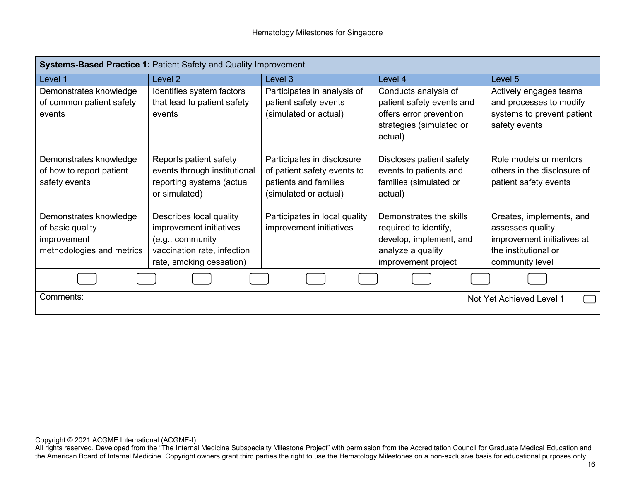| <b>Systems-Based Practice 1: Patient Safety and Quality Improvement</b>                |                                                                                                                                   |                                                                                                             |                                                                                                                         |                                                                                                                       |  |
|----------------------------------------------------------------------------------------|-----------------------------------------------------------------------------------------------------------------------------------|-------------------------------------------------------------------------------------------------------------|-------------------------------------------------------------------------------------------------------------------------|-----------------------------------------------------------------------------------------------------------------------|--|
| Level 1                                                                                | Level 2                                                                                                                           | Level 3                                                                                                     | Level 4                                                                                                                 | Level 5                                                                                                               |  |
| Demonstrates knowledge<br>of common patient safety<br>events                           | Identifies system factors<br>that lead to patient safety<br>events                                                                | Participates in analysis of<br>patient safety events<br>(simulated or actual)                               | Conducts analysis of<br>patient safety events and<br>offers error prevention<br>strategies (simulated or<br>actual)     | Actively engages teams<br>and processes to modify<br>systems to prevent patient<br>safety events                      |  |
| Demonstrates knowledge<br>of how to report patient<br>safety events                    | Reports patient safety<br>events through institutional<br>reporting systems (actual<br>or simulated)                              | Participates in disclosure<br>of patient safety events to<br>patients and families<br>(simulated or actual) | Discloses patient safety<br>events to patients and<br>families (simulated or<br>actual)                                 | Role models or mentors<br>others in the disclosure of<br>patient safety events                                        |  |
| Demonstrates knowledge<br>of basic quality<br>improvement<br>methodologies and metrics | Describes local quality<br>improvement initiatives<br>(e.g., community<br>vaccination rate, infection<br>rate, smoking cessation) | Participates in local quality<br>improvement initiatives                                                    | Demonstrates the skills<br>required to identify,<br>develop, implement, and<br>analyze a quality<br>improvement project | Creates, implements, and<br>assesses quality<br>improvement initiatives at<br>the institutional or<br>community level |  |
|                                                                                        |                                                                                                                                   |                                                                                                             |                                                                                                                         |                                                                                                                       |  |
| Comments:                                                                              |                                                                                                                                   |                                                                                                             |                                                                                                                         | Not Yet Achieved Level 1                                                                                              |  |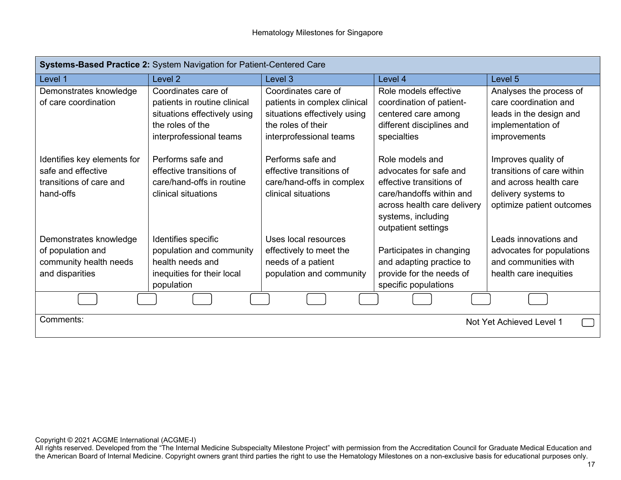| Systems-Based Practice 2: System Navigation for Patient-Centered Care |                              |                              |                                                   |                            |
|-----------------------------------------------------------------------|------------------------------|------------------------------|---------------------------------------------------|----------------------------|
| Level 1                                                               | Level 2                      | Level 3                      | Level 4                                           | Level 5                    |
| Demonstrates knowledge                                                | Coordinates care of          | Coordinates care of          | Role models effective                             | Analyses the process of    |
| of care coordination                                                  | patients in routine clinical | patients in complex clinical | coordination of patient-                          | care coordination and      |
|                                                                       | situations effectively using | situations effectively using | centered care among                               | leads in the design and    |
|                                                                       | the roles of the             | the roles of their           | different disciplines and                         | implementation of          |
|                                                                       | interprofessional teams      | interprofessional teams      | specialties                                       | improvements               |
|                                                                       |                              |                              |                                                   |                            |
| Identifies key elements for                                           | Performs safe and            | Performs safe and            | Role models and                                   | Improves quality of        |
| safe and effective                                                    | effective transitions of     | effective transitions of     | advocates for safe and                            | transitions of care within |
| transitions of care and                                               | care/hand-offs in routine    | care/hand-offs in complex    | effective transitions of                          | and across health care     |
| hand-offs                                                             | clinical situations          | clinical situations          | care/handoffs within and                          | delivery systems to        |
|                                                                       |                              |                              | across health care delivery<br>systems, including | optimize patient outcomes  |
|                                                                       |                              |                              | outpatient settings                               |                            |
| Demonstrates knowledge                                                | Identifies specific          | Uses local resources         |                                                   | Leads innovations and      |
| of population and                                                     | population and community     | effectively to meet the      | Participates in changing                          | advocates for populations  |
| community health needs                                                | health needs and             | needs of a patient           | and adapting practice to                          | and communities with       |
| and disparities                                                       | inequities for their local   | population and community     | provide for the needs of                          | health care inequities     |
|                                                                       | population                   |                              | specific populations                              |                            |
|                                                                       |                              |                              |                                                   |                            |
| Comments:                                                             |                              |                              |                                                   | Not Yet Achieved Level 1   |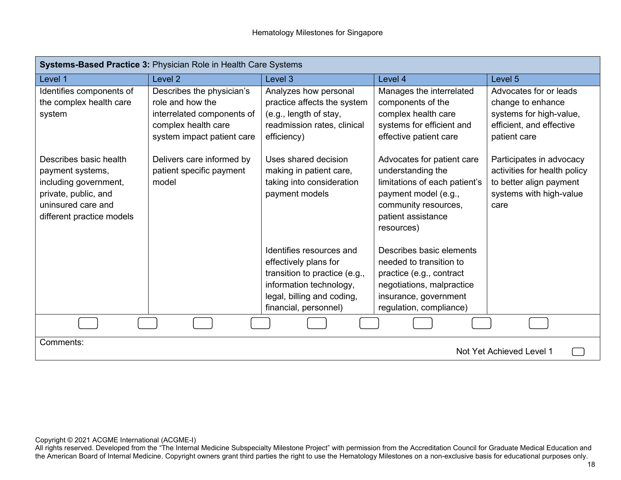| Systems-Based Practice 3: Physician Role in Health Care Systems                                                                                |                                                                                                                                  |                                                                                                                                                                      |                                                                                                                                                                      |                                                                                                                        |
|------------------------------------------------------------------------------------------------------------------------------------------------|----------------------------------------------------------------------------------------------------------------------------------|----------------------------------------------------------------------------------------------------------------------------------------------------------------------|----------------------------------------------------------------------------------------------------------------------------------------------------------------------|------------------------------------------------------------------------------------------------------------------------|
| Level 1                                                                                                                                        | Level 2                                                                                                                          | Level <sub>3</sub>                                                                                                                                                   | Level 4                                                                                                                                                              | Level 5                                                                                                                |
| Identifies components of<br>the complex health care<br>system                                                                                  | Describes the physician's<br>role and how the<br>interrelated components of<br>complex health care<br>system impact patient care | Analyzes how personal<br>practice affects the system<br>(e.g., length of stay,<br>readmission rates, clinical<br>efficiency)                                         | Manages the interrelated<br>components of the<br>complex health care<br>systems for efficient and<br>effective patient care                                          | Advocates for or leads<br>change to enhance<br>systems for high-value,<br>efficient, and effective<br>patient care     |
| Describes basic health<br>payment systems,<br>including government,<br>private, public, and<br>uninsured care and<br>different practice models | Delivers care informed by<br>patient specific payment<br>model                                                                   | Uses shared decision<br>making in patient care,<br>taking into consideration<br>payment models                                                                       | Advocates for patient care<br>understanding the<br>limitations of each patient's<br>payment model (e.g.,<br>community resources,<br>patient assistance<br>resources) | Participates in advocacy<br>activities for health policy<br>to better align payment<br>systems with high-value<br>care |
|                                                                                                                                                |                                                                                                                                  | Identifies resources and<br>effectively plans for<br>transition to practice (e.g.,<br>information technology,<br>legal, billing and coding,<br>financial, personnel) | Describes basic elements<br>needed to transition to<br>practice (e.g., contract<br>negotiations, malpractice<br>insurance, government<br>regulation, compliance)     |                                                                                                                        |
|                                                                                                                                                |                                                                                                                                  |                                                                                                                                                                      |                                                                                                                                                                      |                                                                                                                        |
| Comments:                                                                                                                                      |                                                                                                                                  |                                                                                                                                                                      |                                                                                                                                                                      | Not Yet Achieved Level 1                                                                                               |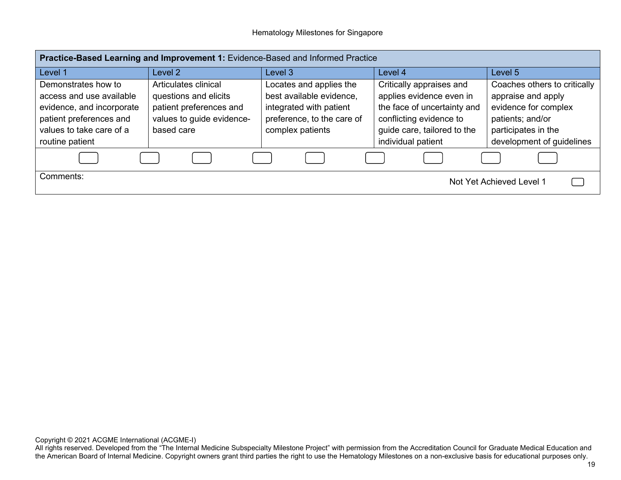| Practice-Based Learning and Improvement 1: Evidence-Based and Informed Practice                                                                        |                                                                                                                     |                                                                                                                                  |                                                                                                                                                                     |                                                                                                                                                    |
|--------------------------------------------------------------------------------------------------------------------------------------------------------|---------------------------------------------------------------------------------------------------------------------|----------------------------------------------------------------------------------------------------------------------------------|---------------------------------------------------------------------------------------------------------------------------------------------------------------------|----------------------------------------------------------------------------------------------------------------------------------------------------|
| Level 1                                                                                                                                                | Level 2                                                                                                             | Level 3                                                                                                                          | Level 4                                                                                                                                                             | Level 5                                                                                                                                            |
| Demonstrates how to<br>access and use available<br>evidence, and incorporate<br>patient preferences and<br>values to take care of a<br>routine patient | Articulates clinical<br>questions and elicits<br>patient preferences and<br>values to guide evidence-<br>based care | Locates and applies the<br>best available evidence,<br>integrated with patient<br>preference, to the care of<br>complex patients | Critically appraises and<br>applies evidence even in<br>the face of uncertainty and<br>conflicting evidence to<br>guide care, tailored to the<br>individual patient | Coaches others to critically<br>appraise and apply<br>evidence for complex<br>patients; and/or<br>participates in the<br>development of guidelines |
| Comments:                                                                                                                                              |                                                                                                                     |                                                                                                                                  |                                                                                                                                                                     | Not Yet Achieved Level 1                                                                                                                           |

Copyright © 2021 ACGME International (ACGME-I)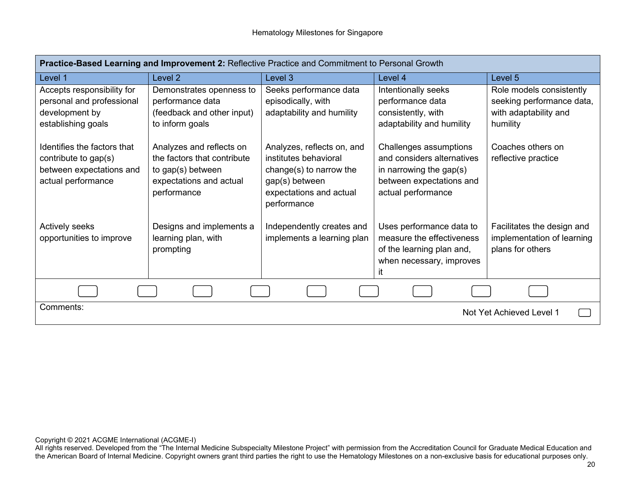| Practice-Based Learning and Improvement 2: Reflective Practice and Commitment to Personal Growth      |                                                                                                                        |                                                                                                                                            |                                                                                                                                   |                                                                                            |
|-------------------------------------------------------------------------------------------------------|------------------------------------------------------------------------------------------------------------------------|--------------------------------------------------------------------------------------------------------------------------------------------|-----------------------------------------------------------------------------------------------------------------------------------|--------------------------------------------------------------------------------------------|
| Level 1                                                                                               | Level 2                                                                                                                | Level 3                                                                                                                                    | Level 4                                                                                                                           | Level 5                                                                                    |
| Accepts responsibility for<br>personal and professional<br>development by<br>establishing goals       | Demonstrates openness to<br>performance data<br>(feedback and other input)<br>to inform goals                          | Seeks performance data<br>episodically, with<br>adaptability and humility                                                                  | Intentionally seeks<br>performance data<br>consistently, with<br>adaptability and humility                                        | Role models consistently<br>seeking performance data,<br>with adaptability and<br>humility |
| Identifies the factors that<br>contribute to gap(s)<br>between expectations and<br>actual performance | Analyzes and reflects on<br>the factors that contribute<br>to gap(s) between<br>expectations and actual<br>performance | Analyzes, reflects on, and<br>institutes behavioral<br>change(s) to narrow the<br>gap(s) between<br>expectations and actual<br>performance | Challenges assumptions<br>and considers alternatives<br>in narrowing the gap(s)<br>between expectations and<br>actual performance | Coaches others on<br>reflective practice                                                   |
| <b>Actively seeks</b><br>opportunities to improve                                                     | Designs and implements a<br>learning plan, with<br>prompting                                                           | Independently creates and<br>implements a learning plan                                                                                    | Uses performance data to<br>measure the effectiveness<br>of the learning plan and,<br>when necessary, improves<br>it              | Facilitates the design and<br>implementation of learning<br>plans for others               |
|                                                                                                       |                                                                                                                        |                                                                                                                                            |                                                                                                                                   |                                                                                            |
| Comments:                                                                                             |                                                                                                                        |                                                                                                                                            |                                                                                                                                   | Not Yet Achieved Level 1                                                                   |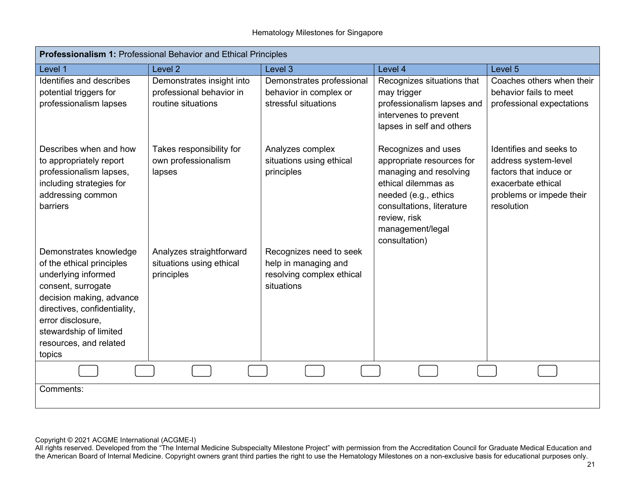| Professionalism 1: Professional Behavior and Ethical Principles                                                                                                                                                                                 |                                                                             |                                                                                            |                                                                                                                                                                                                             |                                                                                                                                           |  |
|-------------------------------------------------------------------------------------------------------------------------------------------------------------------------------------------------------------------------------------------------|-----------------------------------------------------------------------------|--------------------------------------------------------------------------------------------|-------------------------------------------------------------------------------------------------------------------------------------------------------------------------------------------------------------|-------------------------------------------------------------------------------------------------------------------------------------------|--|
| Level 1                                                                                                                                                                                                                                         | Level <sub>2</sub>                                                          | Level 3                                                                                    | Level 4                                                                                                                                                                                                     | Level 5                                                                                                                                   |  |
| Identifies and describes<br>potential triggers for<br>professionalism lapses                                                                                                                                                                    | Demonstrates insight into<br>professional behavior in<br>routine situations | Demonstrates professional<br>behavior in complex or<br>stressful situations                | Recognizes situations that<br>may trigger<br>professionalism lapses and<br>intervenes to prevent<br>lapses in self and others                                                                               | Coaches others when their<br>behavior fails to meet<br>professional expectations                                                          |  |
| Describes when and how<br>to appropriately report<br>professionalism lapses,<br>including strategies for<br>addressing common<br>barriers                                                                                                       | Takes responsibility for<br>own professionalism<br>lapses                   | Analyzes complex<br>situations using ethical<br>principles                                 | Recognizes and uses<br>appropriate resources for<br>managing and resolving<br>ethical dilemmas as<br>needed (e.g., ethics<br>consultations, literature<br>review, risk<br>management/legal<br>consultation) | Identifies and seeks to<br>address system-level<br>factors that induce or<br>exacerbate ethical<br>problems or impede their<br>resolution |  |
| Demonstrates knowledge<br>of the ethical principles<br>underlying informed<br>consent, surrogate<br>decision making, advance<br>directives, confidentiality,<br>error disclosure,<br>stewardship of limited<br>resources, and related<br>topics | Analyzes straightforward<br>situations using ethical<br>principles          | Recognizes need to seek<br>help in managing and<br>resolving complex ethical<br>situations |                                                                                                                                                                                                             |                                                                                                                                           |  |
|                                                                                                                                                                                                                                                 |                                                                             |                                                                                            |                                                                                                                                                                                                             |                                                                                                                                           |  |
| Comments:                                                                                                                                                                                                                                       |                                                                             |                                                                                            |                                                                                                                                                                                                             |                                                                                                                                           |  |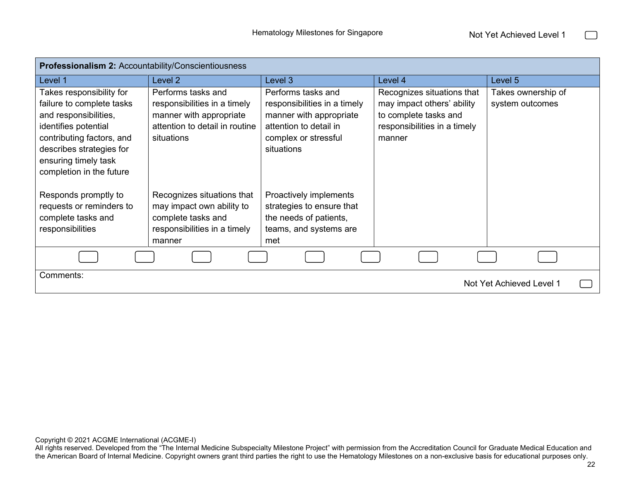$\Box$ 

| Professionalism 2: Accountability/Conscientiousness                                                                                                                                                                 |                                                                                                                               |                                                                                                                                               |                                                                                                                             |                                       |
|---------------------------------------------------------------------------------------------------------------------------------------------------------------------------------------------------------------------|-------------------------------------------------------------------------------------------------------------------------------|-----------------------------------------------------------------------------------------------------------------------------------------------|-----------------------------------------------------------------------------------------------------------------------------|---------------------------------------|
| Level 1                                                                                                                                                                                                             | Level 2                                                                                                                       | Level 3                                                                                                                                       | Level 4                                                                                                                     | Level 5                               |
| Takes responsibility for<br>failure to complete tasks<br>and responsibilities,<br>identifies potential<br>contributing factors, and<br>describes strategies for<br>ensuring timely task<br>completion in the future | Performs tasks and<br>responsibilities in a timely<br>manner with appropriate<br>attention to detail in routine<br>situations | Performs tasks and<br>responsibilities in a timely<br>manner with appropriate<br>attention to detail in<br>complex or stressful<br>situations | Recognizes situations that<br>may impact others' ability<br>to complete tasks and<br>responsibilities in a timely<br>manner | Takes ownership of<br>system outcomes |
| Responds promptly to<br>requests or reminders to<br>complete tasks and<br>responsibilities                                                                                                                          | Recognizes situations that<br>may impact own ability to<br>complete tasks and<br>responsibilities in a timely<br>manner       | Proactively implements<br>strategies to ensure that<br>the needs of patients,<br>teams, and systems are<br>met                                |                                                                                                                             |                                       |
|                                                                                                                                                                                                                     |                                                                                                                               |                                                                                                                                               |                                                                                                                             |                                       |
| Comments:<br>Not Yet Achieved Level 1                                                                                                                                                                               |                                                                                                                               |                                                                                                                                               |                                                                                                                             |                                       |

Copyright © 2021 ACGME International (ACGME-I)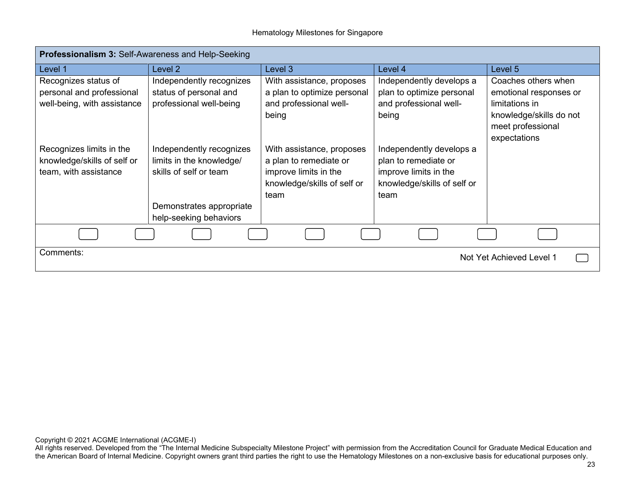| <b>Professionalism 3: Self-Awareness and Help-Seeking</b> |                          |                             |                             |                         |
|-----------------------------------------------------------|--------------------------|-----------------------------|-----------------------------|-------------------------|
| Level 1                                                   | Level 2                  | Level 3                     | Level 4                     | Level 5                 |
| Recognizes status of                                      | Independently recognizes | With assistance, proposes   | Independently develops a    | Coaches others when     |
| personal and professional                                 | status of personal and   | a plan to optimize personal | plan to optimize personal   | emotional responses or  |
| well-being, with assistance                               | professional well-being  | and professional well-      | and professional well-      | limitations in          |
|                                                           |                          | being                       | being                       | knowledge/skills do not |
|                                                           |                          |                             |                             | meet professional       |
|                                                           |                          |                             |                             | expectations            |
| Recognizes limits in the                                  | Independently recognizes | With assistance, proposes   | Independently develops a    |                         |
| knowledge/skills of self or                               | limits in the knowledge/ | a plan to remediate or      | plan to remediate or        |                         |
| team, with assistance                                     | skills of self or team   | improve limits in the       | improve limits in the       |                         |
|                                                           |                          | knowledge/skills of self or | knowledge/skills of self or |                         |
|                                                           |                          | team                        | team                        |                         |
|                                                           | Demonstrates appropriate |                             |                             |                         |
|                                                           | help-seeking behaviors   |                             |                             |                         |
|                                                           |                          |                             |                             |                         |
| Comments:<br>Not Yet Achieved Level 1                     |                          |                             |                             |                         |
|                                                           |                          |                             |                             |                         |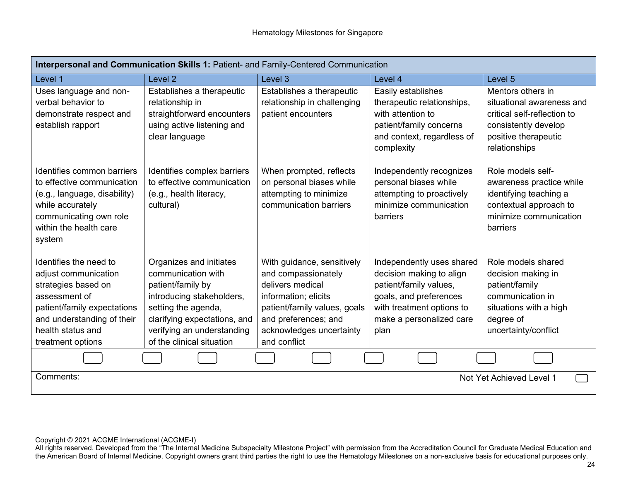| Interpersonal and Communication Skills 1: Patient- and Family-Centered Communication                                                                                                          |                                                                                                                                                                                                                   |                                                                                                                                                                                                   |                                                                                                                                                                            |                                                                                                                                                |
|-----------------------------------------------------------------------------------------------------------------------------------------------------------------------------------------------|-------------------------------------------------------------------------------------------------------------------------------------------------------------------------------------------------------------------|---------------------------------------------------------------------------------------------------------------------------------------------------------------------------------------------------|----------------------------------------------------------------------------------------------------------------------------------------------------------------------------|------------------------------------------------------------------------------------------------------------------------------------------------|
| Level 1                                                                                                                                                                                       | Level <sub>2</sub>                                                                                                                                                                                                | Level <sub>3</sub>                                                                                                                                                                                | Level 4                                                                                                                                                                    | Level 5                                                                                                                                        |
| Uses language and non-<br>verbal behavior to<br>demonstrate respect and<br>establish rapport                                                                                                  | Establishes a therapeutic<br>relationship in<br>straightforward encounters<br>using active listening and<br>clear language                                                                                        | Establishes a therapeutic<br>relationship in challenging<br>patient encounters                                                                                                                    | Easily establishes<br>therapeutic relationships,<br>with attention to<br>patient/family concerns<br>and context, regardless of<br>complexity                               | Mentors others in<br>situational awareness and<br>critical self-reflection to<br>consistently develop<br>positive therapeutic<br>relationships |
| Identifies common barriers<br>to effective communication<br>(e.g., language, disability)<br>while accurately<br>communicating own role<br>within the health care<br>system                    | Identifies complex barriers<br>to effective communication<br>(e.g., health literacy,<br>cultural)                                                                                                                 | When prompted, reflects<br>on personal biases while<br>attempting to minimize<br>communication barriers                                                                                           | Independently recognizes<br>personal biases while<br>attempting to proactively<br>minimize communication<br><b>barriers</b>                                                | Role models self-<br>awareness practice while<br>identifying teaching a<br>contextual approach to<br>minimize communication<br>barriers        |
| Identifies the need to<br>adjust communication<br>strategies based on<br>assessment of<br>patient/family expectations<br>and understanding of their<br>health status and<br>treatment options | Organizes and initiates<br>communication with<br>patient/family by<br>introducing stakeholders,<br>setting the agenda,<br>clarifying expectations, and<br>verifying an understanding<br>of the clinical situation | With guidance, sensitively<br>and compassionately<br>delivers medical<br>information; elicits<br>patient/family values, goals<br>and preferences; and<br>acknowledges uncertainty<br>and conflict | Independently uses shared<br>decision making to align<br>patient/family values,<br>goals, and preferences<br>with treatment options to<br>make a personalized care<br>plan | Role models shared<br>decision making in<br>patient/family<br>communication in<br>situations with a high<br>degree of<br>uncertainty/conflict  |
|                                                                                                                                                                                               |                                                                                                                                                                                                                   |                                                                                                                                                                                                   |                                                                                                                                                                            |                                                                                                                                                |
| Comments:<br>Not Yet Achieved Level 1                                                                                                                                                         |                                                                                                                                                                                                                   |                                                                                                                                                                                                   |                                                                                                                                                                            |                                                                                                                                                |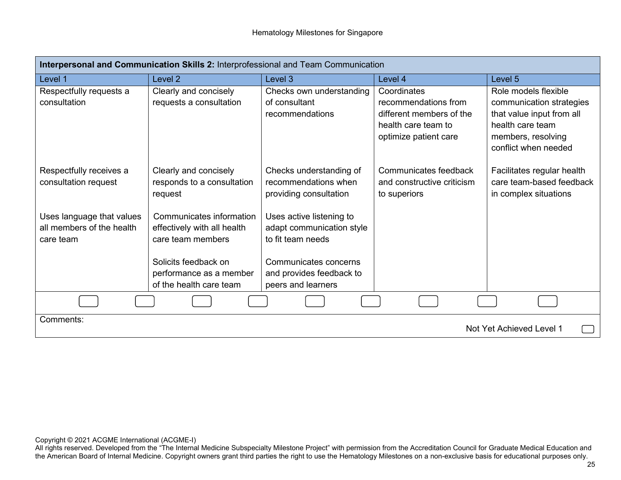| Interpersonal and Communication Skills 2: Interprofessional and Team Communication |                                                                                                                                                            |                                                                                                                                                       |                                                                                                                 |                                                                                                                                                 |
|------------------------------------------------------------------------------------|------------------------------------------------------------------------------------------------------------------------------------------------------------|-------------------------------------------------------------------------------------------------------------------------------------------------------|-----------------------------------------------------------------------------------------------------------------|-------------------------------------------------------------------------------------------------------------------------------------------------|
| Level 1                                                                            | Level <sub>2</sub>                                                                                                                                         | Level 3                                                                                                                                               | Level 4                                                                                                         | Level 5                                                                                                                                         |
| Respectfully requests a<br>consultation                                            | Clearly and concisely<br>requests a consultation                                                                                                           | Checks own understanding<br>of consultant<br>recommendations                                                                                          | Coordinates<br>recommendations from<br>different members of the<br>health care team to<br>optimize patient care | Role models flexible<br>communication strategies<br>that value input from all<br>health care team<br>members, resolving<br>conflict when needed |
| Respectfully receives a<br>consultation request                                    | Clearly and concisely<br>responds to a consultation<br>request                                                                                             | Checks understanding of<br>recommendations when<br>providing consultation                                                                             | Communicates feedback<br>and constructive criticism<br>to superiors                                             | Facilitates regular health<br>care team-based feedback<br>in complex situations                                                                 |
| Uses language that values<br>all members of the health<br>care team                | Communicates information<br>effectively with all health<br>care team members<br>Solicits feedback on<br>performance as a member<br>of the health care team | Uses active listening to<br>adapt communication style<br>to fit team needs<br>Communicates concerns<br>and provides feedback to<br>peers and learners |                                                                                                                 |                                                                                                                                                 |
|                                                                                    |                                                                                                                                                            |                                                                                                                                                       |                                                                                                                 |                                                                                                                                                 |
| Comments:<br>Not Yet Achieved Level 1                                              |                                                                                                                                                            |                                                                                                                                                       |                                                                                                                 |                                                                                                                                                 |